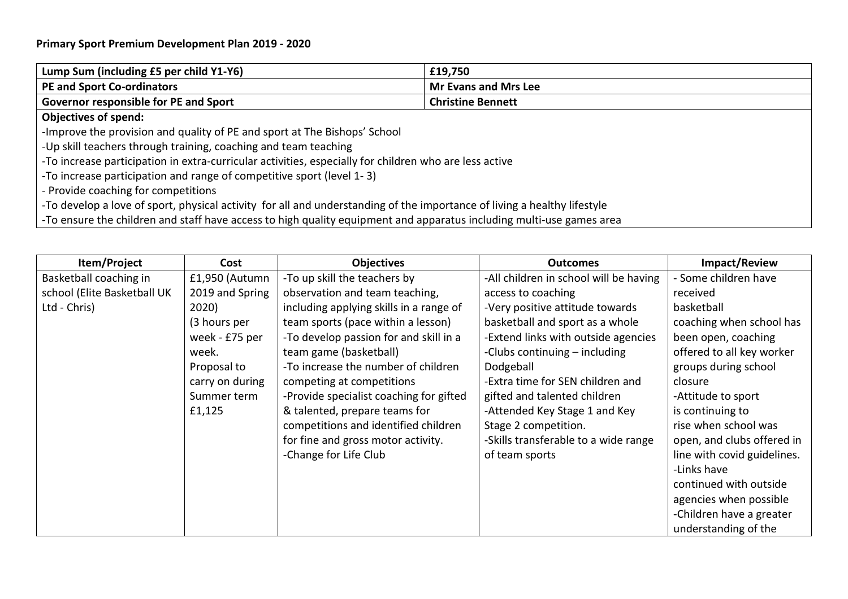## **Primary Sport Premium Development Plan 2019 - 2020**

| Lump Sum (including £5 per child Y1-Y6)                                                                                  | £19,750                     |  |
|--------------------------------------------------------------------------------------------------------------------------|-----------------------------|--|
| <b>PE and Sport Co-ordinators</b>                                                                                        | <b>Mr Evans and Mrs Lee</b> |  |
| Governor responsible for PE and Sport                                                                                    | <b>Christine Bennett</b>    |  |
| <b>Objectives of spend:</b>                                                                                              |                             |  |
| -Improve the provision and quality of PE and sport at The Bishops' School                                                |                             |  |
| -Up skill teachers through training, coaching and team teaching                                                          |                             |  |
| -To increase participation in extra-curricular activities, especially for children who are less active                   |                             |  |
| -To increase participation and range of competitive sport (level 1-3)                                                    |                             |  |
| - Provide coaching for competitions                                                                                      |                             |  |
| -To develop a love of sport, physical activity for all and understanding of the importance of living a healthy lifestyle |                             |  |
| -To ensure the children and staff have access to high quality equipment and apparatus including multi-use games area     |                             |  |

| Item/Project                | Cost            | <b>Objectives</b>                       | <b>Outcomes</b>                        | <b>Impact/Review</b>        |
|-----------------------------|-----------------|-----------------------------------------|----------------------------------------|-----------------------------|
| Basketball coaching in      | £1,950 (Autumn  | -To up skill the teachers by            | -All children in school will be having | - Some children have        |
| school (Elite Basketball UK | 2019 and Spring | observation and team teaching,          | access to coaching                     | received                    |
| Ltd - Chris)                | 2020)           | including applying skills in a range of | -Very positive attitude towards        | basketball                  |
|                             | (3 hours per    | team sports (pace within a lesson)      | basketball and sport as a whole        | coaching when school has    |
|                             | week - £75 per  | -To develop passion for and skill in a  | -Extend links with outside agencies    | been open, coaching         |
|                             | week.           | team game (basketball)                  | -Clubs continuing – including          | offered to all key worker   |
|                             | Proposal to     | -To increase the number of children     | Dodgeball                              | groups during school        |
|                             | carry on during | competing at competitions               | -Extra time for SEN children and       | closure                     |
|                             | Summer term     | -Provide specialist coaching for gifted | gifted and talented children           | -Attitude to sport          |
|                             | £1,125          | & talented, prepare teams for           | -Attended Key Stage 1 and Key          | is continuing to            |
|                             |                 | competitions and identified children    | Stage 2 competition.                   | rise when school was        |
|                             |                 | for fine and gross motor activity.      | -Skills transferable to a wide range   | open, and clubs offered in  |
|                             |                 | -Change for Life Club                   | of team sports                         | line with covid guidelines. |
|                             |                 |                                         |                                        | -Links have                 |
|                             |                 |                                         |                                        | continued with outside      |
|                             |                 |                                         |                                        | agencies when possible      |
|                             |                 |                                         |                                        | -Children have a greater    |
|                             |                 |                                         |                                        | understanding of the        |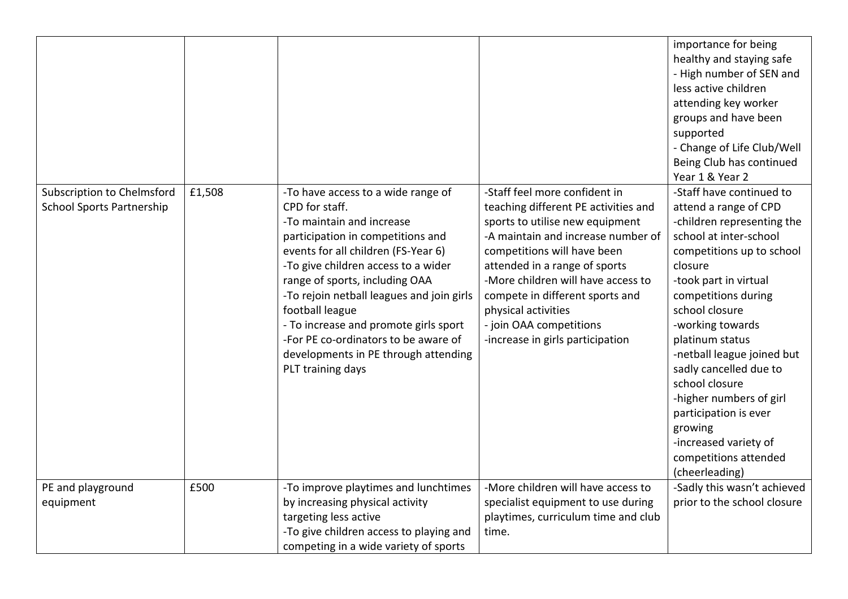|                                                                |        |                                                                                                                                                                                                                                                                                                                                                                                                                                                      |                                                                                                                                                                                                                                                                                                                                                                               | importance for being<br>healthy and staying safe<br>- High number of SEN and<br>less active children<br>attending key worker<br>groups and have been<br>supported<br>- Change of Life Club/Well<br>Being Club has continued<br>Year 1 & Year 2                                                                                                                                                                                                                          |
|----------------------------------------------------------------|--------|------------------------------------------------------------------------------------------------------------------------------------------------------------------------------------------------------------------------------------------------------------------------------------------------------------------------------------------------------------------------------------------------------------------------------------------------------|-------------------------------------------------------------------------------------------------------------------------------------------------------------------------------------------------------------------------------------------------------------------------------------------------------------------------------------------------------------------------------|-------------------------------------------------------------------------------------------------------------------------------------------------------------------------------------------------------------------------------------------------------------------------------------------------------------------------------------------------------------------------------------------------------------------------------------------------------------------------|
| Subscription to Chelmsford<br><b>School Sports Partnership</b> | £1,508 | -To have access to a wide range of<br>CPD for staff.<br>-To maintain and increase<br>participation in competitions and<br>events for all children (FS-Year 6)<br>-To give children access to a wider<br>range of sports, including OAA<br>-To rejoin netball leagues and join girls<br>football league<br>- To increase and promote girls sport<br>-For PE co-ordinators to be aware of<br>developments in PE through attending<br>PLT training days | -Staff feel more confident in<br>teaching different PE activities and<br>sports to utilise new equipment<br>-A maintain and increase number of<br>competitions will have been<br>attended in a range of sports<br>-More children will have access to<br>compete in different sports and<br>physical activities<br>- join OAA competitions<br>-increase in girls participation | -Staff have continued to<br>attend a range of CPD<br>-children representing the<br>school at inter-school<br>competitions up to school<br>closure<br>-took part in virtual<br>competitions during<br>school closure<br>-working towards<br>platinum status<br>-netball league joined but<br>sadly cancelled due to<br>school closure<br>-higher numbers of girl<br>participation is ever<br>growing<br>-increased variety of<br>competitions attended<br>(cheerleading) |
| PE and playground                                              | £500   | -To improve playtimes and lunchtimes                                                                                                                                                                                                                                                                                                                                                                                                                 | -More children will have access to                                                                                                                                                                                                                                                                                                                                            | -Sadly this wasn't achieved                                                                                                                                                                                                                                                                                                                                                                                                                                             |
| equipment                                                      |        | by increasing physical activity                                                                                                                                                                                                                                                                                                                                                                                                                      | specialist equipment to use during                                                                                                                                                                                                                                                                                                                                            | prior to the school closure                                                                                                                                                                                                                                                                                                                                                                                                                                             |
|                                                                |        | targeting less active                                                                                                                                                                                                                                                                                                                                                                                                                                | playtimes, curriculum time and club                                                                                                                                                                                                                                                                                                                                           |                                                                                                                                                                                                                                                                                                                                                                                                                                                                         |
|                                                                |        | -To give children access to playing and                                                                                                                                                                                                                                                                                                                                                                                                              | time.                                                                                                                                                                                                                                                                                                                                                                         |                                                                                                                                                                                                                                                                                                                                                                                                                                                                         |
|                                                                |        | competing in a wide variety of sports                                                                                                                                                                                                                                                                                                                                                                                                                |                                                                                                                                                                                                                                                                                                                                                                               |                                                                                                                                                                                                                                                                                                                                                                                                                                                                         |